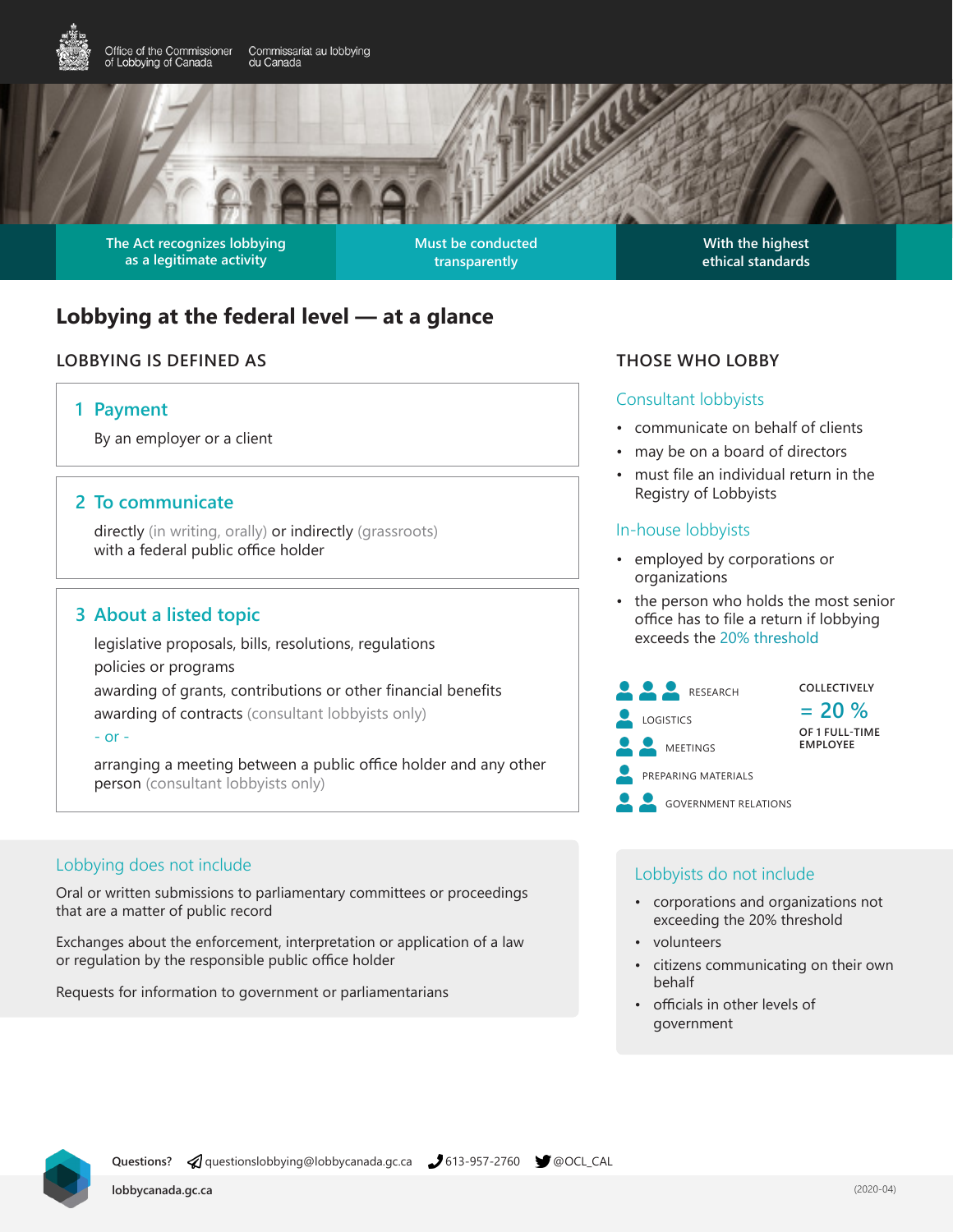

**The Act recognizes lobbying as a legitimate activity**

**Must be conducted transparently**

**With the highest ethical standards**

# **Lobbying at the federal level — at a glance**

# **LOBBYING IS DEFINED AS THOSE WHO LOBBY**

#### **1 Payment**

By an employer or a client

#### **2 To communicate**

directly (in writing, orally) or indirectly (grassroots) with a federal public office holder

## **3 About a listed topic**

legislative proposals, bills, resolutions, regulations policies or programs awarding of grants, contributions or other financial benefits awarding of contracts (consultant lobbyists only)

#### $-$  or  $-$

arranging a meeting between a public office holder and any other person (consultant lobbyists only)

#### Lobbying does not include

Oral or written submissions to parliamentary committees or proceedings that are a matter of public record

Exchanges about the enforcement, interpretation or application of a law or regulation by the responsible public office holder

Requests for information to government or parliamentarians

#### Consultant lobbyists

- communicate on behalf of clients
- may be on a board of directors
- must file an individual return in the Registry of Lobbyists

#### In-house lobbyists

- employed by corporations or organizations
- the person who holds the most senior office has to file a return if lobbying exceeds the 20% threshold
- **COLLECTIVELY = 20 % OF 1 FULL-TIME EMPLOYEE** LOGISTICS PREPARING MATERIALS GOVERNMENT RELATIONS MEETINGS RESEARCH

#### Lobbyists do not include

- corporations and organizations not exceeding the 20% threshold
- volunteers
	- citizens communicating on their own behalf
- officials in other levels of government